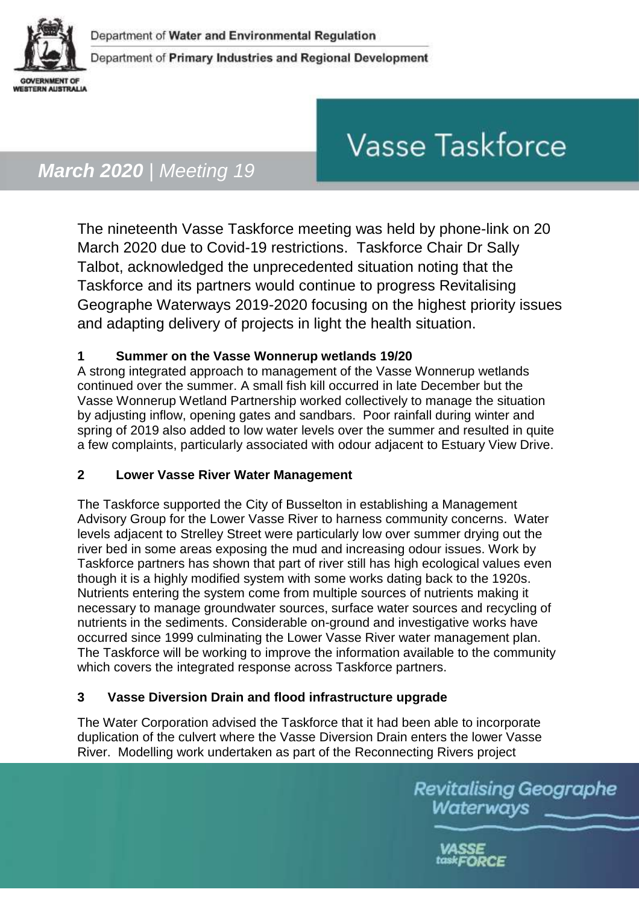

# **Vasse Taskforce**

## *March 2020 | Meeting 19*

The nineteenth Vasse Taskforce meeting was held by phone-link on 20 March 2020 due to Covid-19 restrictions. Taskforce Chair Dr Sally Talbot, acknowledged the unprecedented situation noting that the Taskforce and its partners would continue to progress Revitalising Geographe Waterways 2019-2020 focusing on the highest priority issues and adapting delivery of projects in light the health situation.

### **1 Summer on the Vasse Wonnerup wetlands 19/20**

A strong integrated approach to management of the Vasse Wonnerup wetlands continued over the summer. A small fish kill occurred in late December but the Vasse Wonnerup Wetland Partnership worked collectively to manage the situation by adjusting inflow, opening gates and sandbars. Poor rainfall during winter and spring of 2019 also added to low water levels over the summer and resulted in quite a few complaints, particularly associated with odour adjacent to Estuary View Drive.

### **2 Lower Vasse River Water Management**

The Taskforce supported the City of Busselton in establishing a Management Advisory Group for the Lower Vasse River to harness community concerns. Water levels adjacent to Strelley Street were particularly low over summer drying out the river bed in some areas exposing the mud and increasing odour issues. Work by Taskforce partners has shown that part of river still has high ecological values even though it is a highly modified system with some works dating back to the 1920s. Nutrients entering the system come from multiple sources of nutrients making it necessary to manage groundwater sources, surface water sources and recycling of nutrients in the sediments. Considerable on-ground and investigative works have occurred since 1999 culminating the Lower Vasse River water management plan. The Taskforce will be working to improve the information available to the community which covers the integrated response across Taskforce partners.

### **3 Vasse Diversion Drain and flood infrastructure upgrade**

The Water Corporation advised the Taskforce that it had been able to incorporate duplication of the culvert where the Vasse Diversion Drain enters the lower Vasse River. Modelling work undertaken as part of the Reconnecting Rivers project

> **Revitalising Geographe** Waterways

> > taskFORCE